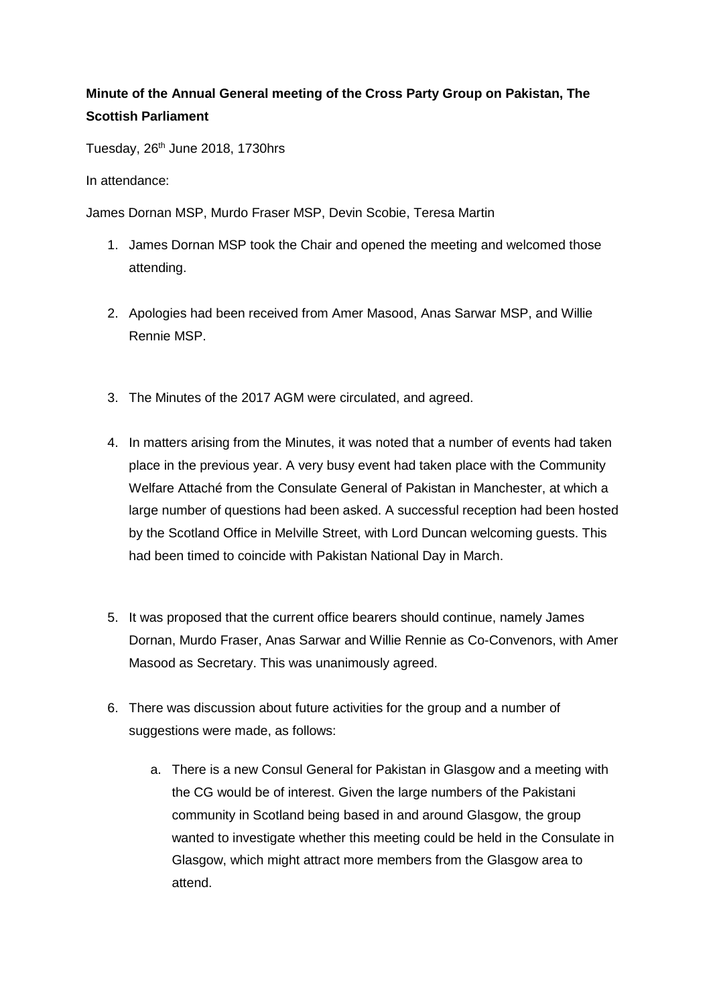## **Minute of the Annual General meeting of the Cross Party Group on Pakistan, The Scottish Parliament**

Tuesday,  $26<sup>th</sup>$  June 2018, 1730hrs

In attendance:

James Dornan MSP, Murdo Fraser MSP, Devin Scobie, Teresa Martin

- 1. James Dornan MSP took the Chair and opened the meeting and welcomed those attending.
- 2. Apologies had been received from Amer Masood, Anas Sarwar MSP, and Willie Rennie MSP.
- 3. The Minutes of the 2017 AGM were circulated, and agreed.
- 4. In matters arising from the Minutes, it was noted that a number of events had taken place in the previous year. A very busy event had taken place with the Community Welfare Attaché from the Consulate General of Pakistan in Manchester, at which a large number of questions had been asked. A successful reception had been hosted by the Scotland Office in Melville Street, with Lord Duncan welcoming guests. This had been timed to coincide with Pakistan National Day in March.
- 5. It was proposed that the current office bearers should continue, namely James Dornan, Murdo Fraser, Anas Sarwar and Willie Rennie as Co-Convenors, with Amer Masood as Secretary. This was unanimously agreed.
- 6. There was discussion about future activities for the group and a number of suggestions were made, as follows:
	- a. There is a new Consul General for Pakistan in Glasgow and a meeting with the CG would be of interest. Given the large numbers of the Pakistani community in Scotland being based in and around Glasgow, the group wanted to investigate whether this meeting could be held in the Consulate in Glasgow, which might attract more members from the Glasgow area to attend.